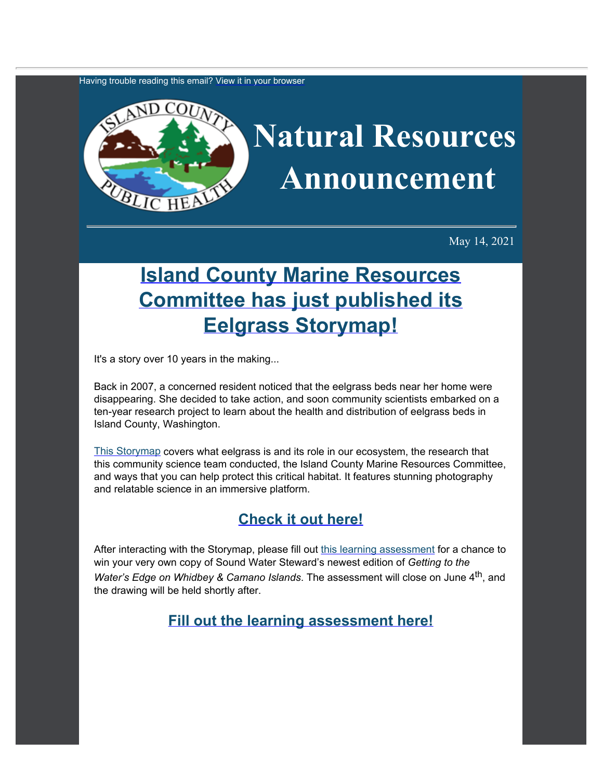Having trouble reading this email? [View](https://content.govdelivery.com/accounts/WACOISLAND/bulletins/2d941c9) [it in your browser](https://content.govdelivery.com/accounts/WACOISLAND/bulletins/2d941c9)



May 14, 2021

## **[Island County](https://www.islandcountymrc.org/projects/eelgrass-survey/?utm_content=&utm_medium=email&utm_name=&utm_source=govdelivery&utm_term=) [Marine Resources](https://www.islandcountymrc.org/projects/eelgrass-survey/?utm_content=&utm_medium=email&utm_name=&utm_source=govdelivery&utm_term=) [Committee has just published its](https://www.islandcountymrc.org/projects/eelgrass-survey/?utm_content=&utm_medium=email&utm_name=&utm_source=govdelivery&utm_term=) [Eelgrass Storymap!](https://www.islandcountymrc.org/projects/eelgrass-survey/?utm_content=&utm_medium=email&utm_name=&utm_source=govdelivery&utm_term=)**

It's a story over 10 years in the making...

Back in 2007, a concerned resident noticed that the eelgrass beds near her home were disappearing. She decided to take action, and soon community scientists embarked on a ten-year research project to learn about the health and distribution of eelgrass beds in Island County, Washington.

[This Storymap](https://www.islandcountymrc.org/projects/eelgrass-survey/?utm_content=&utm_medium=email&utm_name=&utm_source=govdelivery&utm_term=) covers what eelgrass is and its role in our ecosystem, the research that this community science team conducted, the Island County Marine Resources Committee, and ways that you can help protect this critical habitat. It features stunning photography and relatable science in an immersive platform.

## **[Check it out here!](https://www.islandcountymrc.org/projects/eelgrass-survey/?utm_content=&utm_medium=email&utm_name=&utm_source=govdelivery&utm_term=)**

After interacting with the Storymap, please fill out [this learning](https://docs.google.com/forms/d/e/1FAIpQLSfTQENb9Zlyjq50A0lcGt7uIAEgydmha-ODHVbb30nOwl8xEg/viewform?usp=sf_link&utm_content=&utm_medium=email&utm_name=&utm_source=govdelivery&utm_term=) [assessment](https://docs.google.com/forms/d/e/1FAIpQLSfTQENb9Zlyjq50A0lcGt7uIAEgydmha-ODHVbb30nOwl8xEg/viewform?usp=sf_link&utm_content=&utm_medium=email&utm_name=&utm_source=govdelivery&utm_term=) for a chance to win your very own copy of Sound Water Steward's newest edition of *Getting to the Water's Edge on Whidbey & Camano Islands*. The assessment will close on June 4<sup>th</sup>, and the drawing will be held shortly after.

**[Fill out the learning assessment here!](https://docs.google.com/forms/d/e/1FAIpQLSfTQENb9Zlyjq50A0lcGt7uIAEgydmha-ODHVbb30nOwl8xEg/viewform?usp=sf_link&utm_content=&utm_medium=email&utm_name=&utm_source=govdelivery&utm_term=)**